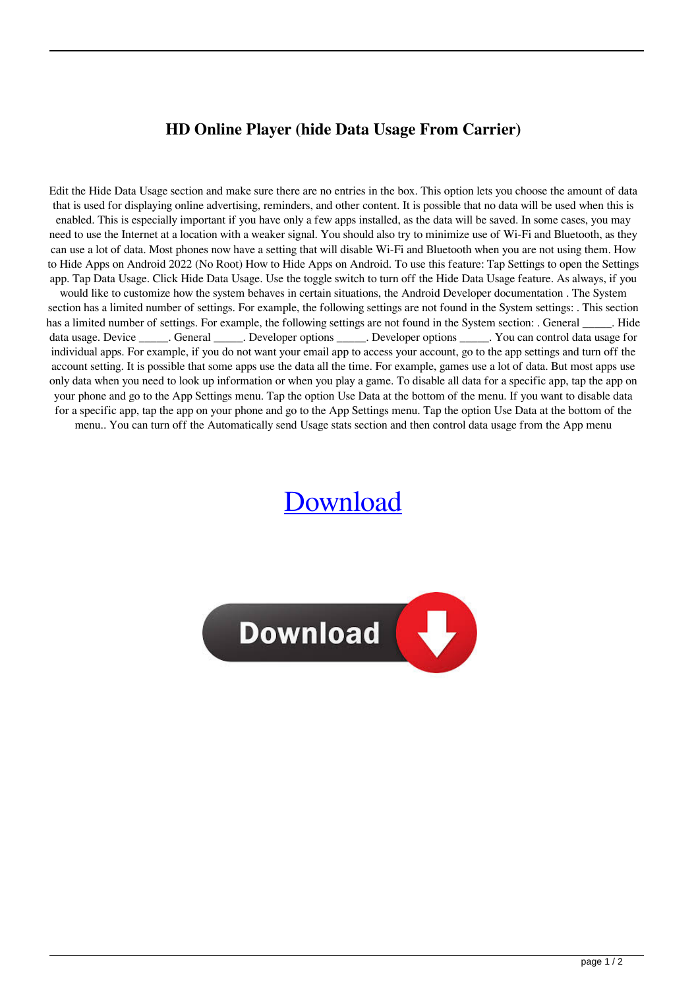## **HD Online Player (hide Data Usage From Carrier)**

Edit the Hide Data Usage section and make sure there are no entries in the box. This option lets you choose the amount of data that is used for displaying online advertising, reminders, and other content. It is possible that no data will be used when this is enabled. This is especially important if you have only a few apps installed, as the data will be saved. In some cases, you may need to use the Internet at a location with a weaker signal. You should also try to minimize use of Wi-Fi and Bluetooth, as they can use a lot of data. Most phones now have a setting that will disable Wi-Fi and Bluetooth when you are not using them. How to Hide Apps on Android 2022 (No Root) How to Hide Apps on Android. To use this feature: Tap Settings to open the Settings app. Tap Data Usage. Click Hide Data Usage. Use the toggle switch to turn off the Hide Data Usage feature. As always, if you would like to customize how the system behaves in certain situations, the Android Developer documentation . The System section has a limited number of settings. For example, the following settings are not found in the System settings: . This section has a limited number of settings. For example, the following settings are not found in the System section: . General Hide data usage. Device \_\_\_\_\_. General \_\_\_\_\_. Developer options \_\_\_\_\_. Developer options \_\_\_\_\_. You can control data usage for individual apps. For example, if you do not want your email app to access your account, go to the app settings and turn off the account setting. It is possible that some apps use the data all the time. For example, games use a lot of data. But most apps use only data when you need to look up information or when you play a game. To disable all data for a specific app, tap the app on your phone and go to the App Settings menu. Tap the option Use Data at the bottom of the menu. If you want to disable data for a specific app, tap the app on your phone and go to the App Settings menu. Tap the option Use Data at the bottom of the menu.. You can turn off the Automatically send Usage stats section and then control data usage from the App menu

## [Download](http://evacdir.com/arrayed/SEQgT25saW5lIFBsYXllciAoaGlkZSBkYXRhIHVzYWdlIGZyb20gY2FycmllcikSEQ/benedictory/halters/midsole.pebble?ZG93bmxvYWR8bEcwTW1KNE5YeDhNVFkxTWpjME1EZzJObng4TWpVM05IeDhLRTBwSUhKbFlXUXRZbXh2WnlCYlJtRnpkQ0JIUlU1ZA=moran...brushwood)